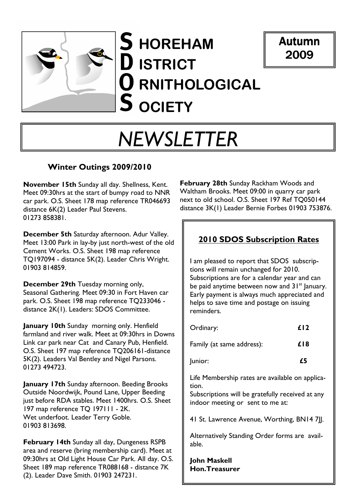

# S HOREHAM D ISTRICT **O** RNITHOLOGICAL **S** OCIETY



# NEWSLETTER

#### Winter Outings 2009/2010

November 15th Sunday all day. Shellness, Kent. Meet 09:30hrs at the start of bumpy road to NNR car park. O.S. Sheet 178 map reference TR046693 distance 6K(2) Leader Paul Stevens. 01273 858381.

December 5th Saturday afternoon. Adur Valley. Meet 13:00 Park in lay-by just north-west of the old Cement Works. O.S. Sheet 198 map reference TQ197094 - distance 5K(2). Leader Chris Wright. 01903 814859.

December 29th Tuesday morning only, Seasonal Gathering. Meet 09:30 in Fort Haven car park. O.S. Sheet 198 map reference TQ233046 distance 2K(1). Leaders: SDOS Committee.

January 10th Sunday morning only. Henfield farmland and river walk. Meet at 09:30hrs in Downs Link car park near Cat and Canary Pub, Henfield. O.S. Sheet 197 map reference TQ206161-distance 5K(2). Leaders Val Bentley and Nigel Parsons. 01273 494723.

January 17th Sunday afternoon. Beeding Brooks Outside Noordwijk, Pound Lane, Upper Beeding just before RDA stables. Meet 1400hrs. O.S. Sheet 197 map reference TQ 197111 - 2K. Wet underfoot. Leader Terry Goble. 01903 813698.

February 14th Sunday all day, Dungeness RSPB area and reserve (bring membership card). Meet at 09:30hrs at Old Light House Car Park. All day. O.S. Sheet 189 map reference TR088168 - distance 7K (2). Leader Dave Smith. 01903 247231.

 next to old school. O.S. Sheet 197 Ref TQ050144 February 28th Sunday Rackham Woods and Waltham Brooks. Meet 09:00 in quarry car park distance 3K(1) Leader Bernie Forbes 01903 753876.

#### 2010 SDOS Subscription Rates

I am pleased to report that SDOS subscriptions will remain unchanged for 2010. Subscriptions are for a calendar year and can be paid anytime between now and  $31^{st}$  January. Early payment is always much appreciated and helps to save time and postage on issuing reminders.

| Ordinary:                                                                                                                                        | f <sub>12</sub> |
|--------------------------------------------------------------------------------------------------------------------------------------------------|-----------------|
| Family (at same address):                                                                                                                        | £18             |
| Junior:                                                                                                                                          | £5              |
| Life Membership rates are available on applica-<br>tion.<br>Subscriptions will be gratefully received at any<br>indoor meeting or sent to me at: |                 |

41 St. Lawrence Avenue, Worthing, BN14 7||.

Alternatively Standing Order forms are available.

John Maskell Hon.Treasurer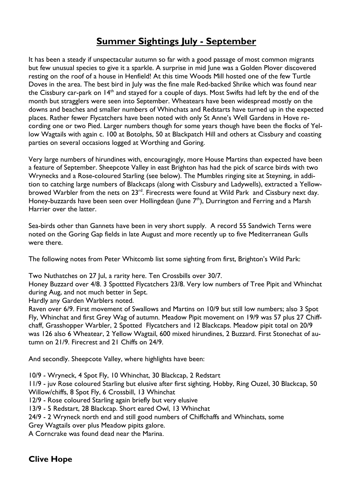### Summer Sightings July - September

It has been a steady if unspectacular autumn so far with a good passage of most common migrants but few unusual species to give it a sparkle. A surprise in mid June was a Golden Plover discovered resting on the roof of a house in Henfield! At this time Woods Mill hosted one of the few Turtle Doves in the area. The best bird in July was the fine male Red-backed Shrike which was found near the Cissbury car-park on 14<sup>th</sup> and stayed for a couple of days. Most Swifts had left by the end of the month but stragglers were seen into September. Wheatears have been widespread mostly on the downs and beaches and smaller numbers of Whinchats and Redstarts have turned up in the expected places. Rather fewer Flycatchers have been noted with only St Anne's Well Gardens in Hove recording one or two Pied. Larger numbers though for some years though have been the flocks of Yellow Wagtails with again c. 100 at Botolphs, 50 at Blackpatch Hill and others at Cissbury and coasting parties on several occasions logged at Worthing and Goring.

Very large numbers of hirundines with, encouragingly, more House Martins than expected have been a feature of September. Sheepcote Valley in east Brighton has had the pick of scarce birds with two Wrynecks and a Rose-coloured Starling (see below). The Mumbles ringing site at Steyning, in addition to catching large numbers of Blackcaps (along with Cissbury and Ladywells), extracted a Yellowbrowed Warbler from the nets on 23<sup>rd</sup>. Firecrests were found at Wild Park and Cissbury next day. Honey-buzzards have been seen over Hollingdean (June 7<sup>th</sup>), Durrington and Ferring and a Marsh Harrier over the latter.

Sea-birds other than Gannets have been in very short supply. A record 55 Sandwich Terns were noted on the Goring Gap fields in late August and more recently up to five Mediterranean Gulls were there.

The following notes from Peter Whitcomb list some sighting from first, Brighton's Wild Park:

Two Nuthatches on 27 Jul, a rarity here. Ten Crossbills over 30/7.

Honey Buzzard over 4/8. 3 Spottted Flycatchers 23/8. Very low numbers of Tree Pipit and Whinchat during Aug, and not much better in Sept.

Hardly any Garden Warblers noted.

Raven over 6/9. First movement of Swallows and Martins on 10/9 but still low numbers; also 3 Spot Fly, Whinchat and first Grey Wag of autumn. Meadow Pipit movement on 19/9 was 57 plus 27 Chiffchaff, Grasshopper Warbler, 2 Spotted Flycatchers and 12 Blackcaps. Meadow pipit total on 20/9 was 126 also 6 Wheatear, 2 Yellow Wagtail, 600 mixed hirundines, 2 Buzzard. First Stonechat of autumn on 21/9. Firecrest and 21 Chiffs on 24/9.

And secondly. Sheepcote Valley, where highlights have been:

10/9 - Wryneck, 4 Spot Fly, 10 Whinchat, 30 Blackcap, 2 Redstart

11/9 - juv Rose coloured Starling but elusive after first sighting, Hobby, Ring Ouzel, 30 Blackcap, 50 Willow/chiffs, 8 Spot Fly, 6 Crossbill, 13 Whinchat

12/9 - Rose coloured Starling again briefly but very elusive

13/9 - 5 Redstart, 28 Blackcap. Short eared Owl, 13 Whinchat

24/9 - 2 Wryneck north end and still good numbers of Chiffchaffs and Whinchats, some

Grey Wagtails over plus Meadow pipits galore.

A Corncrake was found dead near the Marina.

#### Clive Hope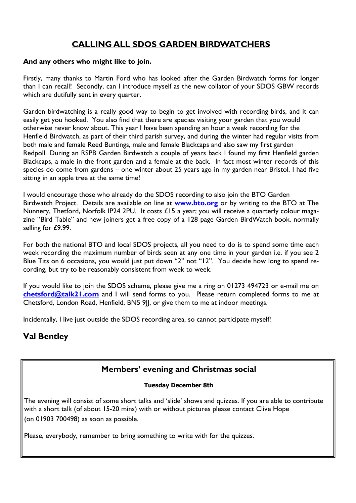#### CALLING ALL SDOS GARDEN BIRDWATCHERS

#### And any others who might like to join.

Firstly, many thanks to Martin Ford who has looked after the Garden Birdwatch forms for longer than I can recall! Secondly, can I introduce myself as the new collator of your SDOS GBW records which are dutifully sent in every quarter.

Garden birdwatching is a really good way to begin to get involved with recording birds, and it can easily get you hooked. You also find that there are species visiting your garden that you would otherwise never know about. This year I have been spending an hour a week recording for the Henfield Birdwatch, as part of their third parish survey, and during the winter had regular visits from both male and female Reed Buntings, male and female Blackcaps and also saw my first garden Redpoll. During an RSPB Garden Birdwatch a couple of years back I found my first Henfield garden Blackcaps, a male in the front garden and a female at the back. In fact most winter records of this species do come from gardens – one winter about 25 years ago in my garden near Bristol, I had five sitting in an apple tree at the same time!

I would encourage those who already do the SDOS recording to also join the BTO Garden Birdwatch Project. Details are available on line at www.bto.org or by writing to the BTO at The Nunnery, Thetford, Norfolk IP24 2PU. It costs £15 a year; you will receive a quarterly colour magazine "Bird Table" and new joiners get a free copy of a 128 page Garden BirdWatch book, normally selling for £9.99.

For both the national BTO and local SDOS projects, all you need to do is to spend some time each week recording the maximum number of birds seen at any one time in your garden i.e. if you see 2 Blue Tits on 6 occasions, you would just put down "2" not "12". You decide how long to spend recording, but try to be reasonably consistent from week to week.

If you would like to join the SDOS scheme, please give me a ring on 01273 494723 or e-mail me on chetsford@talk21.com and I will send forms to you. Please return completed forms to me at Chetsford, London Road, Henfield, BN5 9JJ, or give them to me at indoor meetings.

Incidentally, I live just outside the SDOS recording area, so cannot participate myself!

#### Val Bentley

#### Members' evening and Christmas social

#### Tuesday December 8th

The evening will consist of some short talks and 'slide' shows and quizzes. If you are able to contribute with a short talk (of about 15-20 mins) with or without pictures please contact Clive Hope (on 01903 700498) as soon as possible.

Please, everybody, remember to bring something to write with for the quizzes.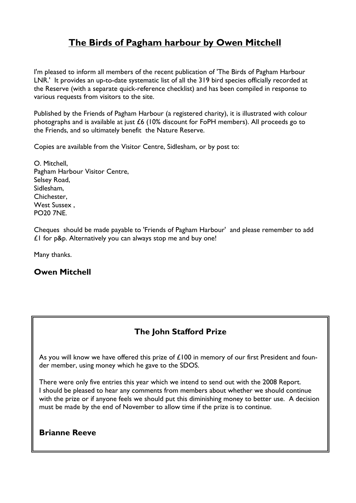### The Birds of Pagham harbour by Owen Mitchell

I'm pleased to inform all members of the recent publication of 'The Birds of Pagham Harbour LNR.' It provides an up-to-date systematic list of all the 319 bird species officially recorded at the Reserve (with a separate quick-reference checklist) and has been compiled in response to various requests from visitors to the site.

Published by the Friends of Pagham Harbour (a registered charity), it is illustrated with colour photographs and is available at just £6 (10% discount for FoPH members). All proceeds go to the Friends, and so ultimately benefit the Nature Reserve.

Copies are available from the Visitor Centre, Sidlesham, or by post to:

O. Mitchell, Pagham Harbour Visitor Centre, Selsey Road, Sidlesham, Chichester, West Sussex , PO20 7NE.

Cheques should be made payable to 'Friends of Pagham Harbour' and please remember to add £1 for p&p. Alternatively you can always stop me and buy one!

Many thanks.

#### Owen Mitchell

#### The John Stafford Prize

As you will know we have offered this prize of  $£100$  in memory of our first President and founder member, using money which he gave to the SDOS.

There were only five entries this year which we intend to send out with the 2008 Report. I should be pleased to hear any comments from members about whether we should continue with the prize or if anyone feels we should put this diminishing money to better use. A decision must be made by the end of November to allow time if the prize is to continue.

#### Brianne Reeve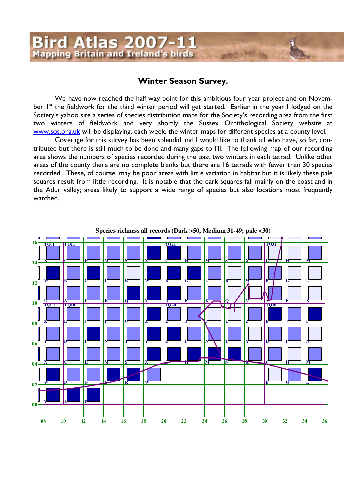# Bird Atlas 2007-11<br>Mapping Britain and Ireland's birds

#### Winter Season Survey**.**

We have now reached the half way point for this ambitious four year project and on November 1<sup>st</sup> the fieldwork for the third winter period will get started. Earlier in the year I lodged on the Society's yahoo site a series of species distribution maps for the Society's recording area from the first two winters of fieldwork and very shortly the Sussex Ornithological Society website at www.sos.org.uk will be displaying, each week, the winter maps for different species at a county level.

Coverage for this survey has been splendid and I would like to thank all who have, so far, contributed but there is still much to be done and many gaps to fill. The following map of our recording area shows the numbers of species recorded during the past two winters in each tetrad. Unlike other areas of the county there are no complete blanks but there are 16 tetrads with fewer than 30 species recorded. These, of course, may be poor areas with little variation in habitat but it is likely these pale squares result from little recording. It is notable that the dark squares fall mainly on the coast and in the Adur valley; areas likely to support a wide range of species but also locations most frequently watched.

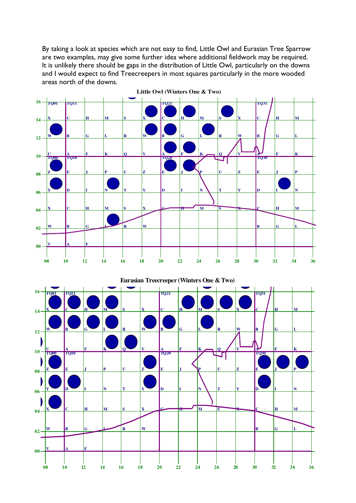By taking a look at species which are not easy to find, Little Owl and Eurasian Tree Sparrow are two examples, may give some further idea where additional fieldwork may be required. It is unlikely there should be gaps in the distribution of Little Owl, particularly on the downs and I would expect to find Treecreepers in most squares particularly in the more wooded areas north of the downs.





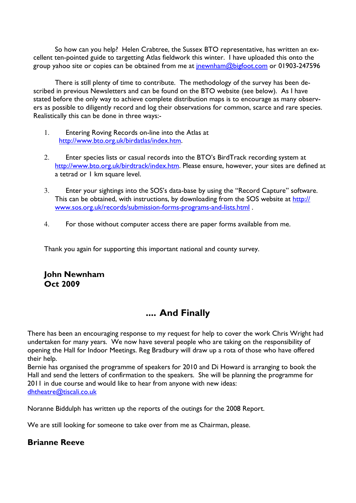So how can you help? Helen Crabtree, the Sussex BTO representative, has written an excellent ten-pointed guide to targetting Atlas fieldwork this winter. I have uploaded this onto the group yahoo site or copies can be obtained from me at *jnewnham@bigfoot.com* or 01903-247596

There is still plenty of time to contribute. The methodology of the survey has been described in previous Newsletters and can be found on the BTO website (see below). As I have stated before the only way to achieve complete distribution maps is to encourage as many observers as possible to diligently record and log their observations for common, scarce and rare species. Realistically this can be done in three ways:-

- 1. Entering Roving Records on-line into the Atlas at http://www.bto.org.uk/birdatlas/index.htm.
- 2. Enter species lists or casual records into the BTO's BirdTrack recording system at http://www.bto.org.uk/birdtrack/index.htm. Please ensure, however, your sites are defined at a tetrad or 1 km square level.
- 3. Enter your sightings into the SOS's data-base by using the "Record Capture" software. This can be obtained, with instructions, by downloading from the SOS website at http:// www.sos.org.uk/records/submission-forms-programs-and-lists.html .
- 4. For those without computer access there are paper forms available from me.

Thank you again for supporting this important national and county survey.

#### John Newnham Oct 2009

## .... And Finally

There has been an encouraging response to my request for help to cover the work Chris Wright had undertaken for many years. We now have several people who are taking on the responsibility of opening the Hall for Indoor Meetings. Reg Bradbury will draw up a rota of those who have offered their help.

Bernie has organised the programme of speakers for 2010 and Di Howard is arranging to book the Hall and send the letters of confirmation to the speakers. She will be planning the programme for 2011 in due course and would like to hear from anyone with new ideas: dhtheatre@tiscali.co.uk

Noranne Biddulph has written up the reports of the outings for the 2008 Report.

We are still looking for someone to take over from me as Chairman, please.

#### Brianne Reeve